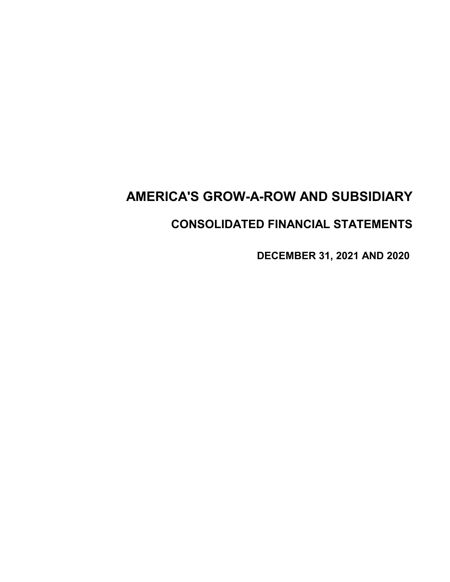# **AMERICA'S GROW-A-ROW AND SUBSIDIARY**

# **CONSOLIDATED FINANCIAL STATEMENTS**

**DECEMBER 31, 2021 AND 2020**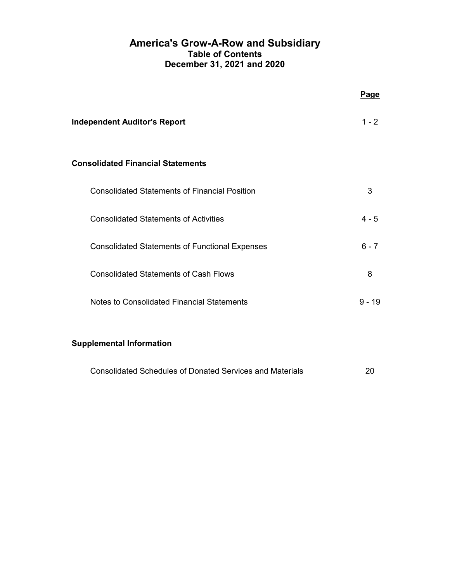# **America's Grow-A-Row and Subsidiary Table of Contents December 31, 2021 and 2020**

|                                                       | Page     |
|-------------------------------------------------------|----------|
| <b>Independent Auditor's Report</b>                   | $1 - 2$  |
| <b>Consolidated Financial Statements</b>              |          |
| <b>Consolidated Statements of Financial Position</b>  | 3        |
| <b>Consolidated Statements of Activities</b>          | $4 - 5$  |
| <b>Consolidated Statements of Functional Expenses</b> | $6 - 7$  |
| <b>Consolidated Statements of Cash Flows</b>          | 8        |
| Notes to Consolidated Financial Statements            | $9 - 19$ |

# **Supplemental Information**

| Consolidated Schedules of Donated Services and Materials |  |
|----------------------------------------------------------|--|
|                                                          |  |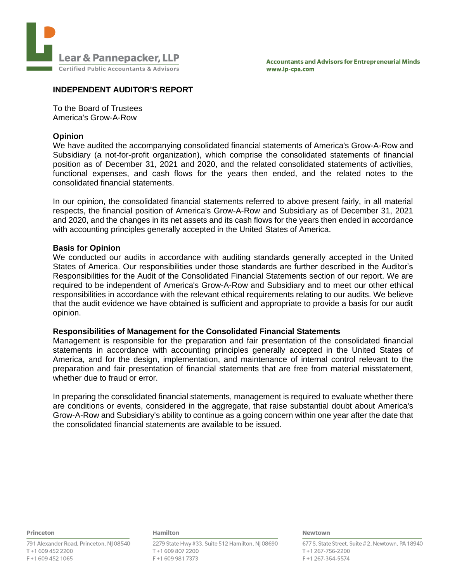

#### **INDEPENDENT AUDITOR'S REPORT**

To the Board of Trustees America's Grow-A-Row

#### **Opinion**

We have audited the accompanying consolidated financial statements of America's Grow-A-Row and Subsidiary (a not-for-profit organization), which comprise the consolidated statements of financial position as of December 31, 2021 and 2020, and the related consolidated statements of activities, functional expenses, and cash flows for the years then ended, and the related notes to the consolidated financial statements.

In our opinion, the consolidated financial statements referred to above present fairly, in all material respects, the financial position of America's Grow-A-Row and Subsidiary as of December 31, 2021 and 2020, and the changes in its net assets and its cash flows for the years then ended in accordance with accounting principles generally accepted in the United States of America.

#### **Basis for Opinion**

We conducted our audits in accordance with auditing standards generally accepted in the United States of America. Our responsibilities under those standards are further described in the Auditor's Responsibilities for the Audit of the Consolidated Financial Statements section of our report. We are required to be independent of America's Grow-A-Row and Subsidiary and to meet our other ethical responsibilities in accordance with the relevant ethical requirements relating to our audits. We believe that the audit evidence we have obtained is sufficient and appropriate to provide a basis for our audit opinion.

#### **Responsibilities of Management for the Consolidated Financial Statements**

Management is responsible for the preparation and fair presentation of the consolidated financial statements in accordance with accounting principles generally accepted in the United States of America, and for the design, implementation, and maintenance of internal control relevant to the preparation and fair presentation of financial statements that are free from material misstatement, whether due to fraud or error.

In preparing the consolidated financial statements, management is required to evaluate whether there are conditions or events, considered in the aggregate, that raise substantial doubt about America's Grow-A-Row and Subsidiary's ability to continue as a going concern within one year after the date that the consolidated financial statements are available to be issued.

**Princeton** 

791 Alexander Road, Princeton, NJ 08540 T+16094522200 F+16094521065

#### **Hamilton**

2279 State Hwy #33, Suite 512 Hamilton, NJ 08690 T+16098072200 F+16099817373

#### **Newtown**

677 S. State Street, Suite #2, Newtown, PA 18940 T+1267-756-2200 F+1267-364-5574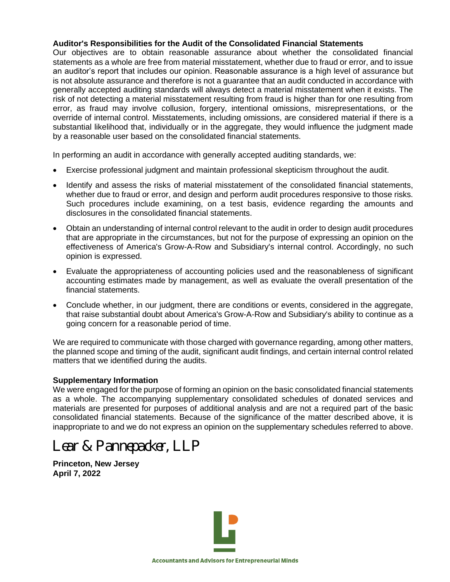#### **Auditor's Responsibilities for the Audit of the Consolidated Financial Statements**

Our objectives are to obtain reasonable assurance about whether the consolidated financial statements as a whole are free from material misstatement, whether due to fraud or error, and to issue an auditor's report that includes our opinion. Reasonable assurance is a high level of assurance but is not absolute assurance and therefore is not a guarantee that an audit conducted in accordance with generally accepted auditing standards will always detect a material misstatement when it exists. The risk of not detecting a material misstatement resulting from fraud is higher than for one resulting from error, as fraud may involve collusion, forgery, intentional omissions, misrepresentations, or the override of internal control. Misstatements, including omissions, are considered material if there is a substantial likelihood that, individually or in the aggregate, they would influence the judgment made by a reasonable user based on the consolidated financial statements.

In performing an audit in accordance with generally accepted auditing standards, we:

- Exercise professional judgment and maintain professional skepticism throughout the audit.
- Identify and assess the risks of material misstatement of the consolidated financial statements, whether due to fraud or error, and design and perform audit procedures responsive to those risks. Such procedures include examining, on a test basis, evidence regarding the amounts and disclosures in the consolidated financial statements.
- Obtain an understanding of internal control relevant to the audit in order to design audit procedures that are appropriate in the circumstances, but not for the purpose of expressing an opinion on the effectiveness of America's Grow-A-Row and Subsidiary's internal control. Accordingly, no such opinion is expressed.
- Evaluate the appropriateness of accounting policies used and the reasonableness of significant accounting estimates made by management, as well as evaluate the overall presentation of the financial statements.
- Conclude whether, in our judgment, there are conditions or events, considered in the aggregate, that raise substantial doubt about America's Grow-A-Row and Subsidiary's ability to continue as a going concern for a reasonable period of time.

We are required to communicate with those charged with governance regarding, among other matters, the planned scope and timing of the audit, significant audit findings, and certain internal control related matters that we identified during the audits.

#### **Supplementary Information**

We were engaged for the purpose of forming an opinion on the basic consolidated financial statements as a whole. The accompanying supplementary consolidated schedules of donated services and materials are presented for purposes of additional analysis and are not a required part of the basic consolidated financial statements. Because of the significance of the matter described above, it is inappropriate to and we do not express an opinion on the supplementary schedules referred to above.

# *Lear & Pannepacker, LLP*

**Princeton, New Jersey April 7, 2022**

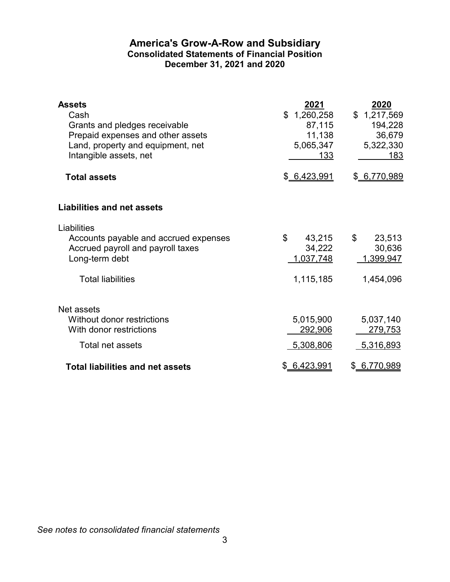# **America's Grow-A-Row and Subsidiary Consolidated Statements of Financial Position December 31, 2021 and 2020**

| <b>Assets</b><br>Cash<br>Grants and pledges receivable<br>Prepaid expenses and other assets<br>Land, property and equipment, net<br>Intangible assets, net | 2021<br>\$1,260,258<br>87,115<br>11,138<br>5,065,347<br><u>133</u> | 2020<br>\$1,217,569<br>194,228<br>36,679<br>5,322,330<br>183 |
|------------------------------------------------------------------------------------------------------------------------------------------------------------|--------------------------------------------------------------------|--------------------------------------------------------------|
| <b>Total assets</b>                                                                                                                                        | \$6,423,991                                                        | \$6,770,989                                                  |
| <b>Liabilities and net assets</b>                                                                                                                          |                                                                    |                                                              |
| Liabilities<br>Accounts payable and accrued expenses<br>Accrued payroll and payroll taxes<br>Long-term debt<br><b>Total liabilities</b>                    | \$<br>43,215<br>34,222<br>1,037,748<br>1,115,185                   | \$<br>23,513<br>30,636<br>1,399,947<br>1,454,096             |
| Net assets<br>Without donor restrictions<br>With donor restrictions<br>Total net assets                                                                    | 5,015,900<br>292,906<br>5,308,806                                  | 5,037,140<br>279,753<br><u>5,316,893</u>                     |
| <b>Total liabilities and net assets</b>                                                                                                                    | \$6,423,991                                                        | \$6,770,989                                                  |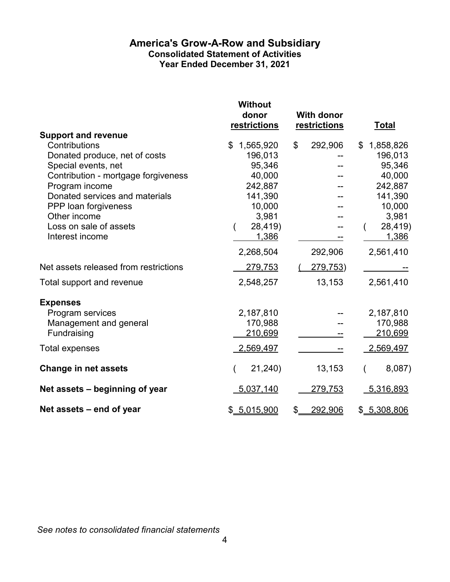# **America's Grow-A-Row and Subsidiary Consolidated Statement of Activities Year Ended December 31, 2021**

|                                             | <b>Without</b><br>donor<br><b>restrictions</b> | <b>With donor</b><br>restrictions | <b>Total</b>    |
|---------------------------------------------|------------------------------------------------|-----------------------------------|-----------------|
| <b>Support and revenue</b><br>Contributions | \$<br>1,565,920                                | \$<br>292,906                     | \$<br>1,858,826 |
| Donated produce, net of costs               | 196,013                                        |                                   | 196,013         |
| Special events, net                         | 95,346                                         |                                   | 95,346          |
| Contribution - mortgage forgiveness         | 40,000                                         |                                   | 40,000          |
| Program income                              | 242,887                                        |                                   | 242,887         |
| Donated services and materials              | 141,390                                        |                                   | 141,390         |
| PPP loan forgiveness                        | 10,000                                         |                                   | 10,000          |
| Other income                                | 3,981                                          |                                   | 3,981           |
| Loss on sale of assets                      | 28,419)                                        |                                   | 28,419)         |
| Interest income                             | 1,386                                          |                                   | 1,386           |
|                                             | 2,268,504                                      | 292,906                           | 2,561,410       |
| Net assets released from restrictions       | 279,753                                        | 279,753)                          |                 |
| Total support and revenue                   | 2,548,257                                      | 13,153                            | 2,561,410       |
| <b>Expenses</b>                             |                                                |                                   |                 |
| Program services                            | 2,187,810                                      |                                   | 2,187,810       |
| Management and general                      | 170,988                                        |                                   | 170,988         |
| Fundraising                                 | <u>210,699</u>                                 |                                   | 210,699         |
| <b>Total expenses</b>                       | 2,569,497                                      |                                   | 2,569,497       |
| <b>Change in net assets</b>                 | 21,240)                                        | 13,153                            | 8,087)          |
| Net assets - beginning of year              | 5,037,140                                      | 279,753                           | 5,316,893       |
| Net assets – end of year                    | \$ 5,015,900                                   | \$<br>292,906                     | \$ 5,308,806    |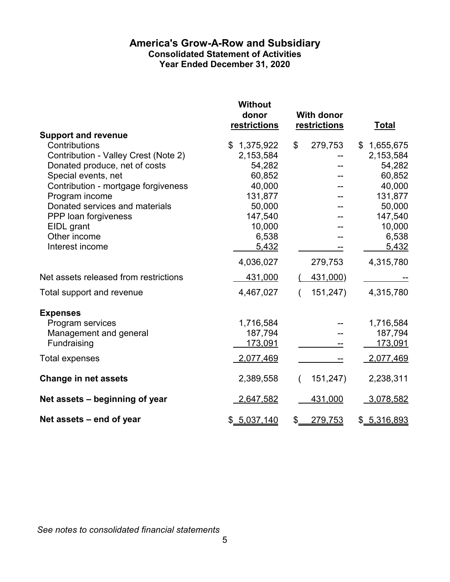# **America's Grow-A-Row and Subsidiary Consolidated Statement of Activities Year Ended December 31, 2020**

|                                       | <b>Without</b><br>donor<br>restrictions | <b>With donor</b><br>restrictions | <u>Total</u>    |
|---------------------------------------|-----------------------------------------|-----------------------------------|-----------------|
| <b>Support and revenue</b>            |                                         |                                   |                 |
| Contributions                         | 1,375,922<br>S                          | $\mathfrak{L}$<br>279,753         | 1,655,675<br>\$ |
| Contribution - Valley Crest (Note 2)  | 2,153,584                               |                                   | 2,153,584       |
| Donated produce, net of costs         | 54,282                                  |                                   | 54,282          |
| Special events, net                   | 60,852                                  |                                   | 60,852          |
| Contribution - mortgage forgiveness   | 40,000                                  |                                   | 40,000          |
| Program income                        | 131,877                                 |                                   | 131,877         |
| Donated services and materials        | 50,000                                  |                                   | 50,000          |
| PPP loan forgiveness                  | 147,540                                 |                                   | 147,540         |
| EIDL grant                            | 10,000                                  |                                   | 10,000          |
| Other income                          | 6,538                                   |                                   | 6,538           |
| Interest income                       | 5,432                                   |                                   | 5,432           |
|                                       | 4,036,027                               | 279,753                           | 4,315,780       |
| Net assets released from restrictions | 431,000                                 | 431,000)                          |                 |
| Total support and revenue             | 4,467,027                               | 151,247)                          | 4,315,780       |
| <b>Expenses</b>                       |                                         |                                   |                 |
| Program services                      | 1,716,584                               |                                   | 1,716,584       |
| Management and general                | 187,794                                 |                                   | 187,794         |
| Fundraising                           | 173,091                                 |                                   | 173,091         |
| Total expenses                        | 2,077,469                               |                                   | 2,077,469       |
| <b>Change in net assets</b>           | 2,389,558                               | 151,247)                          | 2,238,311       |
| Net assets – beginning of year        | 2,647,582                               | 431,000                           | 3,078,582       |
| Net assets – end of year              | \$ 5,037,140                            | 279,753<br>\$                     | \$5,316,893     |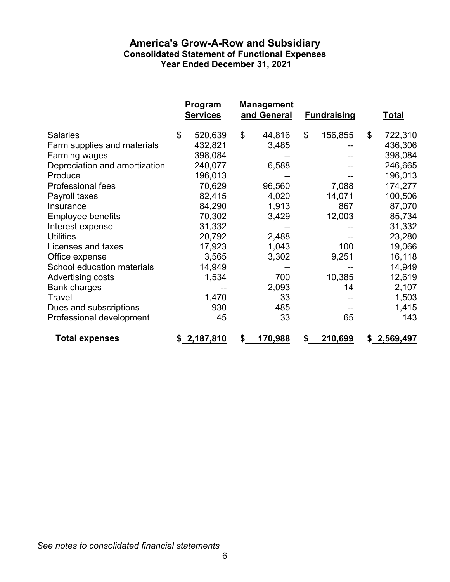# **America's Grow-A-Row and Subsidiary Consolidated Statement of Functional Expenses Year Ended December 31, 2021**

|                               | Program<br><b>Services</b> |                           | <b>Management</b><br>and General | <b>Fundraising</b> | <b>Total</b>  |
|-------------------------------|----------------------------|---------------------------|----------------------------------|--------------------|---------------|
| <b>Salaries</b>               | \$<br>520,639              | $\boldsymbol{\mathsf{S}}$ | 44,816                           | \$<br>156,855      | \$<br>722,310 |
| Farm supplies and materials   | 432,821                    |                           | 3,485                            |                    | 436,306       |
| Farming wages                 | 398,084                    |                           |                                  |                    | 398,084       |
| Depreciation and amortization | 240,077                    |                           | 6,588                            |                    | 246,665       |
| Produce                       | 196,013                    |                           |                                  |                    | 196,013       |
| <b>Professional fees</b>      | 70,629                     |                           | 96,560                           | 7,088              | 174,277       |
| Payroll taxes                 | 82,415                     |                           | 4,020                            | 14,071             | 100,506       |
| Insurance                     | 84,290                     |                           | 1,913                            | 867                | 87,070        |
| <b>Employee benefits</b>      | 70,302                     |                           | 3,429                            | 12,003             | 85,734        |
| Interest expense              | 31,332                     |                           |                                  |                    | 31,332        |
| <b>Utilities</b>              | 20,792                     |                           | 2,488                            |                    | 23,280        |
| Licenses and taxes            | 17,923                     |                           | 1,043                            | 100                | 19,066        |
| Office expense                | 3,565                      |                           | 3,302                            | 9,251              | 16,118        |
| School education materials    | 14,949                     |                           |                                  |                    | 14,949        |
| <b>Advertising costs</b>      | 1,534                      |                           | 700                              | 10,385             | 12,619        |
| <b>Bank charges</b>           |                            |                           | 2,093                            | 14                 | 2,107         |
| Travel                        | 1,470                      |                           | 33                               |                    | 1,503         |
| Dues and subscriptions        | 930                        |                           | 485                              |                    | 1,415         |
| Professional development      | <u>45</u>                  |                           | <u>33</u>                        | 65                 | <u> 143</u>   |
| <b>Total expenses</b>         | \$2,187,810                |                           | 170,988                          | \$<br>210,699      | \$2,569,497   |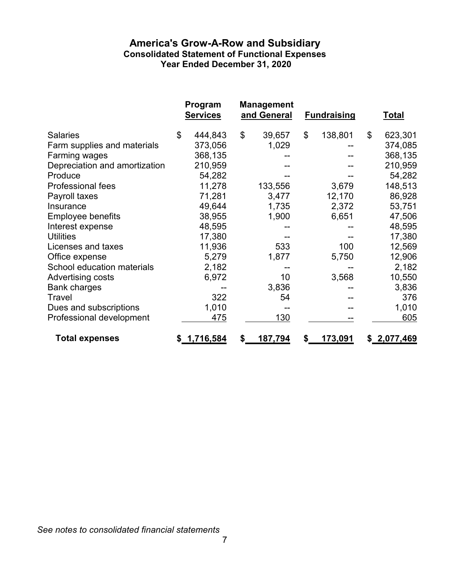# **America's Grow-A-Row and Subsidiary Consolidated Statement of Functional Expenses Year Ended December 31, 2020**

|                               | Program<br><b>Services</b> |                           | <b>Management</b><br>and General | <b>Fundraising</b> | <b>Total</b>  |
|-------------------------------|----------------------------|---------------------------|----------------------------------|--------------------|---------------|
| <b>Salaries</b>               | \$<br>444,843              | $\boldsymbol{\mathsf{S}}$ | 39,657                           | \$<br>138,801      | \$<br>623,301 |
| Farm supplies and materials   | 373,056                    |                           | 1,029                            |                    | 374,085       |
| <b>Farming wages</b>          | 368,135                    |                           |                                  |                    | 368,135       |
| Depreciation and amortization | 210,959                    |                           |                                  |                    | 210,959       |
| Produce                       | 54,282                     |                           |                                  |                    | 54,282        |
| <b>Professional fees</b>      | 11,278                     |                           | 133,556                          | 3,679              | 148,513       |
| Payroll taxes                 | 71,281                     |                           | 3,477                            | 12,170             | 86,928        |
| Insurance                     | 49,644                     |                           | 1,735                            | 2,372              | 53,751        |
| <b>Employee benefits</b>      | 38,955                     |                           | 1,900                            | 6,651              | 47,506        |
| Interest expense              | 48,595                     |                           |                                  |                    | 48,595        |
| <b>Utilities</b>              | 17,380                     |                           |                                  |                    | 17,380        |
| Licenses and taxes            | 11,936                     |                           | 533                              | 100                | 12,569        |
| Office expense                | 5,279                      |                           | 1,877                            | 5,750              | 12,906        |
| School education materials    | 2,182                      |                           |                                  |                    | 2,182         |
| Advertising costs             | 6,972                      |                           | 10                               | 3,568              | 10,550        |
| <b>Bank charges</b>           |                            |                           | 3,836                            |                    | 3,836         |
| Travel                        | 322                        |                           | 54                               |                    | 376           |
| Dues and subscriptions        | 1,010                      |                           |                                  |                    | 1,010         |
| Professional development      | 475                        |                           | 130                              |                    | 605           |
| <b>Total expenses</b>         | \$ 1,716,584               |                           | 187,794                          | \$<br>173,091      | \$2,077,469   |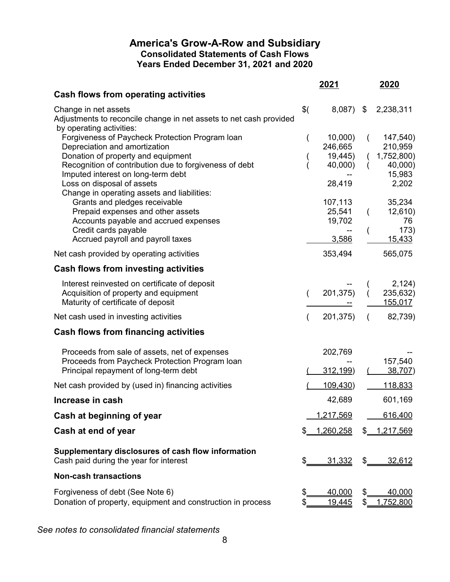# **America's Grow-A-Row and Subsidiary Consolidated Statements of Cash Flows Years Ended December 31, 2021 and 2020**

|                                                                                                                        |               | <u> 2021</u>      |               | <u> 2020</u>        |
|------------------------------------------------------------------------------------------------------------------------|---------------|-------------------|---------------|---------------------|
| <b>Cash flows from operating activities</b>                                                                            |               |                   |               |                     |
| Change in net assets<br>Adjustments to reconcile change in net assets to net cash provided<br>by operating activities: | $\frac{1}{2}$ | 8,087)            | \$            | 2,238,311           |
| Forgiveness of Paycheck Protection Program Ioan<br>Depreciation and amortization                                       |               | 10,000<br>246,665 |               | 147,540)<br>210,959 |
| Donation of property and equipment                                                                                     |               | 19,445)           |               | 1,752,800)          |
| Recognition of contribution due to forgiveness of debt<br>Imputed interest on long-term debt                           |               | 40,000)           |               | 40,000)<br>15,983   |
| Loss on disposal of assets                                                                                             |               | 28,419            |               | 2,202               |
| Change in operating assets and liabilities:<br>Grants and pledges receivable                                           |               | 107,113           |               | 35,234              |
| Prepaid expenses and other assets                                                                                      |               | 25,541            |               | 12,610)             |
| Accounts payable and accrued expenses                                                                                  |               | 19,702            |               | 76                  |
| Credit cards payable                                                                                                   |               |                   |               | 173)                |
| Accrued payroll and payroll taxes                                                                                      |               | 3,586             |               | <u>15,433</u>       |
| Net cash provided by operating activities                                                                              |               | 353,494           |               | 565,075             |
| <b>Cash flows from investing activities</b>                                                                            |               |                   |               |                     |
| Interest reinvested on certificate of deposit                                                                          |               |                   |               | 2,124)              |
| Acquisition of property and equipment                                                                                  |               | 201,375)          |               | 235,632)            |
| Maturity of certificate of deposit                                                                                     |               |                   |               | <u>155,017</u>      |
| Net cash used in investing activities                                                                                  |               | 201,375)          |               | 82,739)             |
| <b>Cash flows from financing activities</b>                                                                            |               |                   |               |                     |
| Proceeds from sale of assets, net of expenses                                                                          |               | 202,769           |               |                     |
| Proceeds from Paycheck Protection Program Ioan                                                                         |               |                   |               | 157,540             |
| Principal repayment of long-term debt                                                                                  |               | 312, 199          |               | 38,707              |
| Net cash provided by (used in) financing activities                                                                    |               | 109,430)          |               | 118,833             |
| Increase in cash                                                                                                       |               | 42,689            |               | 601,169             |
| Cash at beginning of year                                                                                              |               | <u>1,217,569</u>  |               | 616,400             |
| Cash at end of year                                                                                                    | \$            | 1,260,258         | \$_           | 1,217,569           |
| Supplementary disclosures of cash flow information<br>Cash paid during the year for interest                           | \$.           | 31,332            | $\frac{1}{2}$ | 32,612              |
| <b>Non-cash transactions</b>                                                                                           |               |                   |               |                     |
| Forgiveness of debt (See Note 6)                                                                                       | \$            | 40,000            | \$            | 40,000              |
| Donation of property, equipment and construction in process                                                            | \$            | 19,445            | \$            | <u>1,752,800</u>    |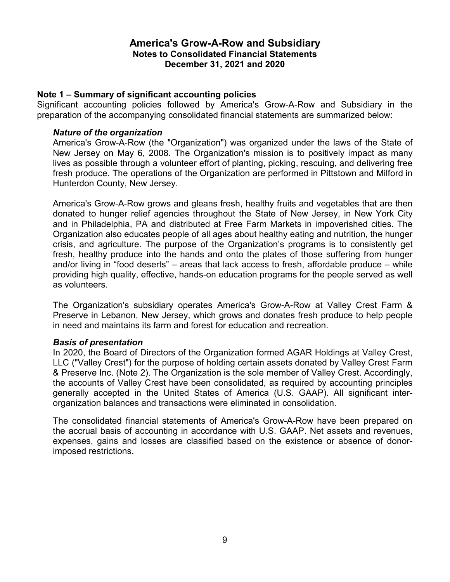# **Note 1 – Summary of significant accounting policies**

Significant accounting policies followed by America's Grow-A-Row and Subsidiary in the preparation of the accompanying consolidated financial statements are summarized below:

# *Nature of the organization*

America's Grow-A-Row (the "Organization") was organized under the laws of the State of New Jersey on May 6, 2008. The Organization's mission is to positively impact as many lives as possible through a volunteer effort of planting, picking, rescuing, and delivering free fresh produce. The operations of the Organization are performed in Pittstown and Milford in Hunterdon County, New Jersey.

America's Grow-A-Row grows and gleans fresh, healthy fruits and vegetables that are then donated to hunger relief agencies throughout the State of New Jersey, in New York City and in Philadelphia, PA and distributed at Free Farm Markets in impoverished cities. The Organization also educates people of all ages about healthy eating and nutrition, the hunger crisis, and agriculture. The purpose of the Organization's programs is to consistently get fresh, healthy produce into the hands and onto the plates of those suffering from hunger and/or living in "food deserts" – areas that lack access to fresh, affordable produce – while providing high quality, effective, hands-on education programs for the people served as well as volunteers.

The Organization's subsidiary operates America's Grow-A-Row at Valley Crest Farm & Preserve in Lebanon, New Jersey, which grows and donates fresh produce to help people in need and maintains its farm and forest for education and recreation.

# *Basis of presentation*

In 2020, the Board of Directors of the Organization formed AGAR Holdings at Valley Crest, LLC ("Valley Crest") for the purpose of holding certain assets donated by Valley Crest Farm & Preserve Inc. (Note 2). The Organization is the sole member of Valley Crest. Accordingly, the accounts of Valley Crest have been consolidated, as required by accounting principles generally accepted in the United States of America (U.S. GAAP). All significant interorganization balances and transactions were eliminated in consolidation.

The consolidated financial statements of America's Grow-A-Row have been prepared on the accrual basis of accounting in accordance with U.S. GAAP. Net assets and revenues, expenses, gains and losses are classified based on the existence or absence of donorimposed restrictions.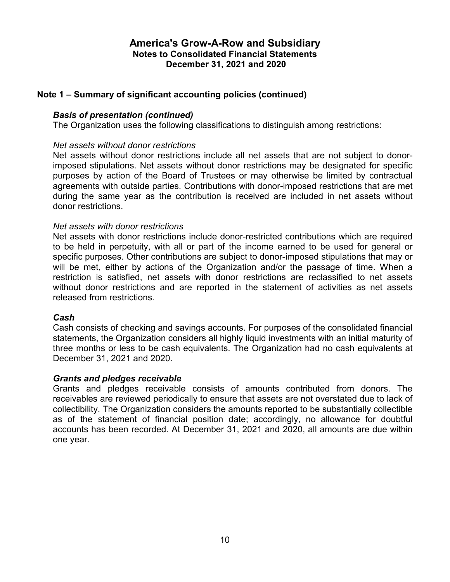# **Note 1 – Summary of significant accounting policies (continued)**

#### *Basis of presentation (continued)*

The Organization uses the following classifications to distinguish among restrictions:

#### *Net assets without donor restrictions*

Net assets without donor restrictions include all net assets that are not subject to donorimposed stipulations. Net assets without donor restrictions may be designated for specific purposes by action of the Board of Trustees or may otherwise be limited by contractual agreements with outside parties. Contributions with donor-imposed restrictions that are met during the same year as the contribution is received are included in net assets without donor restrictions.

#### *Net assets with donor restrictions*

Net assets with donor restrictions include donor-restricted contributions which are required to be held in perpetuity, with all or part of the income earned to be used for general or specific purposes. Other contributions are subject to donor-imposed stipulations that may or will be met, either by actions of the Organization and/or the passage of time. When a restriction is satisfied, net assets with donor restrictions are reclassified to net assets without donor restrictions and are reported in the statement of activities as net assets released from restrictions.

#### *Cash*

Cash consists of checking and savings accounts. For purposes of the consolidated financial statements, the Organization considers all highly liquid investments with an initial maturity of three months or less to be cash equivalents. The Organization had no cash equivalents at December 31, 2021 and 2020.

#### *Grants and pledges receivable*

Grants and pledges receivable consists of amounts contributed from donors. The receivables are reviewed periodically to ensure that assets are not overstated due to lack of collectibility. The Organization considers the amounts reported to be substantially collectible as of the statement of financial position date; accordingly, no allowance for doubtful accounts has been recorded. At December 31, 2021 and 2020, all amounts are due within one year.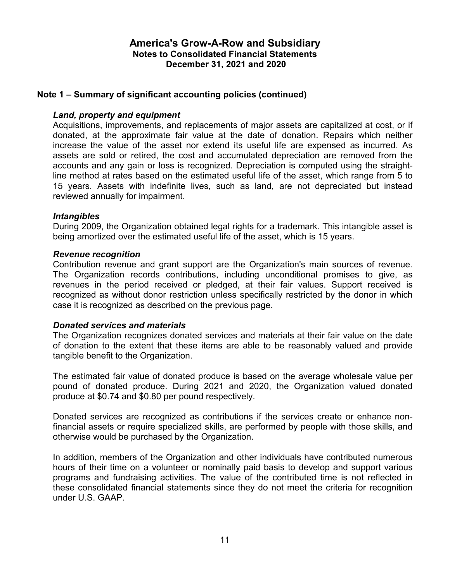# **Note 1 – Summary of significant accounting policies (continued)**

### *Land, property and equipment*

Acquisitions, improvements, and replacements of major assets are capitalized at cost, or if donated, at the approximate fair value at the date of donation. Repairs which neither increase the value of the asset nor extend its useful life are expensed as incurred. As assets are sold or retired, the cost and accumulated depreciation are removed from the accounts and any gain or loss is recognized. Depreciation is computed using the straightline method at rates based on the estimated useful life of the asset, which range from 5 to 15 years. Assets with indefinite lives, such as land, are not depreciated but instead reviewed annually for impairment.

#### *Intangibles*

During 2009, the Organization obtained legal rights for a trademark. This intangible asset is being amortized over the estimated useful life of the asset, which is 15 years.

#### *Revenue recognition*

Contribution revenue and grant support are the Organization's main sources of revenue. The Organization records contributions, including unconditional promises to give, as revenues in the period received or pledged, at their fair values. Support received is recognized as without donor restriction unless specifically restricted by the donor in which case it is recognized as described on the previous page.

#### *Donated services and materials*

The Organization recognizes donated services and materials at their fair value on the date of donation to the extent that these items are able to be reasonably valued and provide tangible benefit to the Organization.

The estimated fair value of donated produce is based on the average wholesale value per pound of donated produce. During 2021 and 2020, the Organization valued donated produce at \$0.74 and \$0.80 per pound respectively.

Donated services are recognized as contributions if the services create or enhance nonfinancial assets or require specialized skills, are performed by people with those skills, and otherwise would be purchased by the Organization.

In addition, members of the Organization and other individuals have contributed numerous hours of their time on a volunteer or nominally paid basis to develop and support various programs and fundraising activities. The value of the contributed time is not reflected in these consolidated financial statements since they do not meet the criteria for recognition under U.S. GAAP.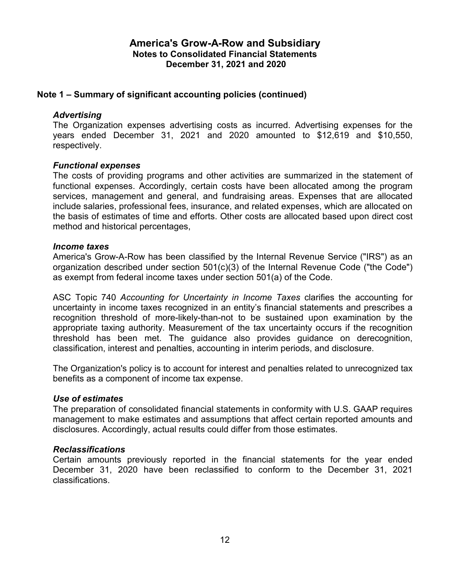# **Note 1 – Summary of significant accounting policies (continued)**

# *Advertising*

The Organization expenses advertising costs as incurred. Advertising expenses for the years ended December 31, 2021 and 2020 amounted to \$12,619 and \$10,550, respectively.

# *Functional expenses*

The costs of providing programs and other activities are summarized in the statement of functional expenses. Accordingly, certain costs have been allocated among the program services, management and general, and fundraising areas. Expenses that are allocated include salaries, professional fees, insurance, and related expenses, which are allocated on the basis of estimates of time and efforts. Other costs are allocated based upon direct cost method and historical percentages,

# *Income taxes*

America's Grow-A-Row has been classified by the Internal Revenue Service ("IRS") as an organization described under section 501(c)(3) of the Internal Revenue Code ("the Code") as exempt from federal income taxes under section 501(a) of the Code.

ASC Topic 740 *Accounting for Uncertainty in Income Taxes* clarifies the accounting for uncertainty in income taxes recognized in an entity's financial statements and prescribes a recognition threshold of more-likely-than-not to be sustained upon examination by the appropriate taxing authority. Measurement of the tax uncertainty occurs if the recognition threshold has been met. The guidance also provides guidance on derecognition, classification, interest and penalties, accounting in interim periods, and disclosure.

The Organization's policy is to account for interest and penalties related to unrecognized tax benefits as a component of income tax expense.

# *Use of estimates*

The preparation of consolidated financial statements in conformity with U.S. GAAP requires management to make estimates and assumptions that affect certain reported amounts and disclosures. Accordingly, actual results could differ from those estimates.

# *Reclassifications*

Certain amounts previously reported in the financial statements for the year ended December 31, 2020 have been reclassified to conform to the December 31, 2021 classifications.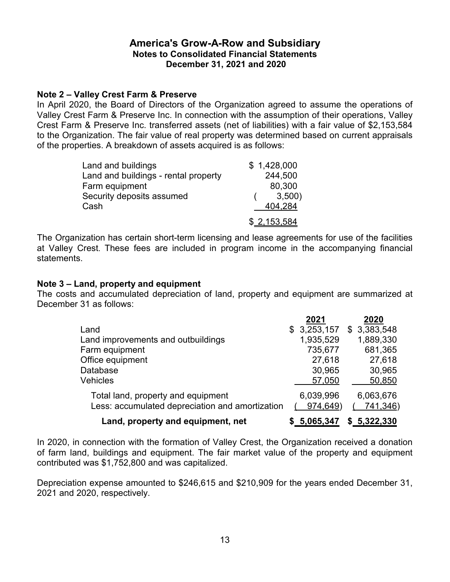# **Note 2 – Valley Crest Farm & Preserve**

In April 2020, the Board of Directors of the Organization agreed to assume the operations of Valley Crest Farm & Preserve Inc. In connection with the assumption of their operations, Valley Crest Farm & Preserve Inc. transferred assets (net of liabilities) with a fair value of \$2,153,584 to the Organization. The fair value of real property was determined based on current appraisals of the properties. A breakdown of assets acquired is as follows:

| Land and buildings                   | \$1,428,000 |
|--------------------------------------|-------------|
| Land and buildings - rental property | 244,500     |
| Farm equipment                       | 80,300      |
| Security deposits assumed            | 3,500       |
| Cash                                 | 404,284     |
|                                      | \$2,153,584 |

The Organization has certain short-term licensing and lease agreements for use of the facilities at Valley Crest. These fees are included in program income in the accompanying financial statements.

# **Note 3 – Land, property and equipment**

The costs and accumulated depreciation of land, property and equipment are summarized at December 31 as follows:

|                                                 | 2021        | 2020        |
|-------------------------------------------------|-------------|-------------|
| Land                                            | \$3,253,157 | \$3,383,548 |
| Land improvements and outbuildings              | 1,935,529   | 1,889,330   |
| Farm equipment                                  | 735,677     | 681,365     |
| Office equipment                                | 27,618      | 27,618      |
| Database                                        | 30,965      | 30,965      |
| Vehicles                                        | 57,050      | 50,850      |
| Total land, property and equipment              | 6,039,996   | 6,063,676   |
| Less: accumulated depreciation and amortization | 974,649)    | 741,346)    |
| Land, property and equipment, net               | \$5,065,347 | \$5,322,330 |

In 2020, in connection with the formation of Valley Crest, the Organization received a donation of farm land, buildings and equipment. The fair market value of the property and equipment contributed was \$1,752,800 and was capitalized.

Depreciation expense amounted to \$246,615 and \$210,909 for the years ended December 31, 2021 and 2020, respectively.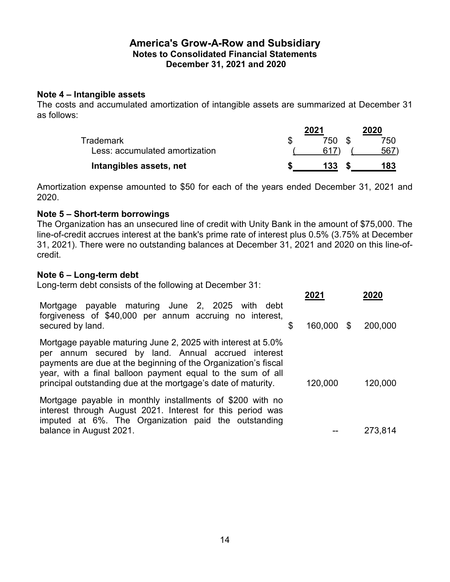### **Note 4 – Intangible assets**

The costs and accumulated amortization of intangible assets are summarized at December 31 as follows:

|                                | つのつっ | ີ່ ^^20 |  |  |
|--------------------------------|------|---------|--|--|
| Trademark                      | 750  | 750.    |  |  |
| Less: accumulated amortization |      | 567)    |  |  |
| Intangibles assets, net        | 133  |         |  |  |

Amortization expense amounted to \$50 for each of the years ended December 31, 2021 and 2020.

# **Note 5 – Short-term borrowings**

The Organization has an unsecured line of credit with Unity Bank in the amount of \$75,000. The line-of-credit accrues interest at the bank's prime rate of interest plus 0.5% (3.75% at December 31, 2021). There were no outstanding balances at December 31, 2021 and 2020 on this line-ofcredit.

#### **Note 6 – Long-term debt**

Long-term debt consists of the following at December 31:

| Mortgage payable maturing June 2, 2025 with debt<br>forgiveness of \$40,000 per annum accruing no interest,<br>secured by land.                                                                                                                                                                                     | \$<br>2021<br>160,000 | \$<br>2020<br>200,000 |
|---------------------------------------------------------------------------------------------------------------------------------------------------------------------------------------------------------------------------------------------------------------------------------------------------------------------|-----------------------|-----------------------|
| Mortgage payable maturing June 2, 2025 with interest at 5.0%<br>per annum secured by land. Annual accrued interest<br>payments are due at the beginning of the Organization's fiscal<br>year, with a final balloon payment equal to the sum of all<br>principal outstanding due at the mortgage's date of maturity. | 120,000               | 120,000               |
| Mortgage payable in monthly installments of \$200 with no<br>interest through August 2021. Interest for this period was<br>imputed at 6%. The Organization paid the outstanding                                                                                                                                     |                       |                       |
| balance in August 2021.                                                                                                                                                                                                                                                                                             |                       | 273.814               |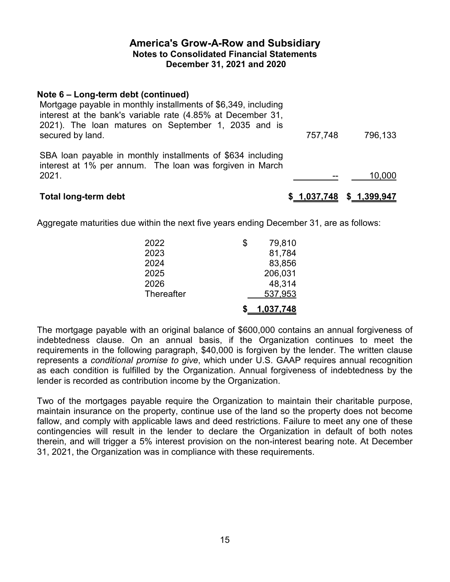# **Note 6 – Long-term debt (continued)** Mortgage payable in monthly installments of \$6,349, including interest at the bank's variable rate (4.85% at December 31, 2021). The loan matures on September 1, 2035 and is secured by land. 2008 2010 2020 2031 2040 2050 2061 2071 2080 2090 2090 2091 2091 2091 2092 2093 2094 2095 20 SBA loan payable in monthly installments of \$634 including interest at 1% per annum. The loan was forgiven in March 2021. -- 10,000 **Total long-term debt \$ 1,037,748 \$ 1,399,947**

Aggregate maturities due within the next five years ending December 31, are as follows:

|            | 1,037,748    |
|------------|--------------|
| Thereafter | 537,953      |
| 2026       | 48,314       |
| 2025       | 206,031      |
| 2024       | 83,856       |
| 2023       | 81,784       |
| 2022       | \$<br>79,810 |

The mortgage payable with an original balance of \$600,000 contains an annual forgiveness of indebtedness clause. On an annual basis, if the Organization continues to meet the requirements in the following paragraph, \$40,000 is forgiven by the lender. The written clause represents a *conditional promise to give*, which under U.S. GAAP requires annual recognition as each condition is fulfilled by the Organization. Annual forgiveness of indebtedness by the lender is recorded as contribution income by the Organization.

Two of the mortgages payable require the Organization to maintain their charitable purpose, maintain insurance on the property, continue use of the land so the property does not become fallow, and comply with applicable laws and deed restrictions. Failure to meet any one of these contingencies will result in the lender to declare the Organization in default of both notes therein, and will trigger a 5% interest provision on the non-interest bearing note. At December 31, 2021, the Organization was in compliance with these requirements.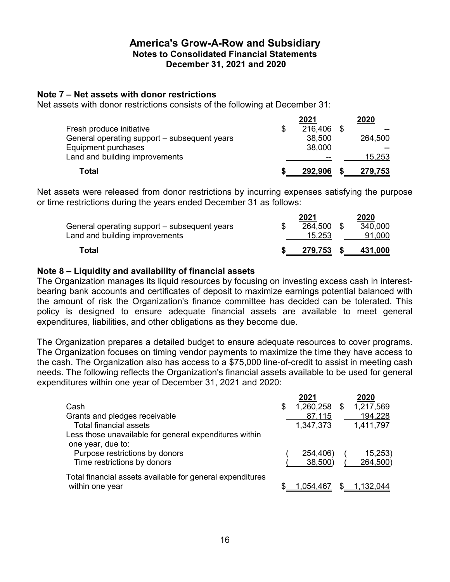# **Note 7 – Net assets with donor restrictions**

Net assets with donor restrictions consists of the following at December 31:

|                                              | 2021    | 2020    |
|----------------------------------------------|---------|---------|
| Fresh produce initiative                     | 216,406 |         |
| General operating support - subsequent years | 38,500  | 264,500 |
| Equipment purchases                          | 38,000  |         |
| Land and building improvements               | --      | 15,253  |
| Total                                        | 292,906 | 279,753 |

Net assets were released from donor restrictions by incurring expenses satisfying the purpose or time restrictions during the years ended December 31 as follows:

| General operating support – subsequent years<br>Land and building improvements | 2021<br>264.500<br>15.253 | 2020<br>340.000<br>91,000 |
|--------------------------------------------------------------------------------|---------------------------|---------------------------|
| Total                                                                          | 279,753                   | 431,000                   |

# **Note 8 – Liquidity and availability of financial assets**

The Organization manages its liquid resources by focusing on investing excess cash in interestbearing bank accounts and certificates of deposit to maximize earnings potential balanced with the amount of risk the Organization's finance committee has decided can be tolerated. This policy is designed to ensure adequate financial assets are available to meet general expenditures, liabilities, and other obligations as they become due.

The Organization prepares a detailed budget to ensure adequate resources to cover programs. The Organization focuses on timing vendor payments to maximize the time they have access to the cash. The Organization also has access to a \$75,000 line-of-credit to assist in meeting cash needs. The following reflects the Organization's financial assets available to be used for general expenditures within one year of December 31, 2021 and 2020:

|                                                                              | 2021            | 2020      |
|------------------------------------------------------------------------------|-----------------|-----------|
| Cash                                                                         | \$<br>1,260,258 | 1,217,569 |
| Grants and pledges receivable                                                | 87,115          | 194,228   |
| <b>Total financial assets</b>                                                | 1,347,373       | 1,411,797 |
| Less those unavailable for general expenditures within<br>one year, due to:  |                 |           |
| Purpose restrictions by donors                                               | 254,406)        | 15,253)   |
| Time restrictions by donors                                                  | 38,500)         | 264,500   |
| Total financial assets available for general expenditures<br>within one year | .054.46         |           |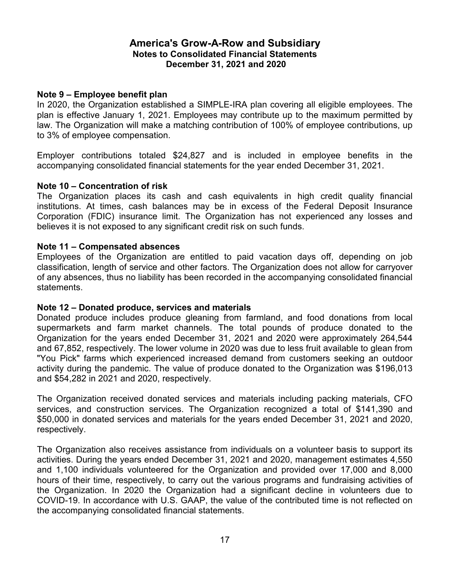#### **Note 9 – Employee benefit plan**

In 2020, the Organization established a SIMPLE-IRA plan covering all eligible employees. The plan is effective January 1, 2021. Employees may contribute up to the maximum permitted by law. The Organization will make a matching contribution of 100% of employee contributions, up to 3% of employee compensation.

Employer contributions totaled \$24,827 and is included in employee benefits in the accompanying consolidated financial statements for the year ended December 31, 2021.

#### **Note 10 – Concentration of risk**

The Organization places its cash and cash equivalents in high credit quality financial institutions. At times, cash balances may be in excess of the Federal Deposit Insurance Corporation (FDIC) insurance limit. The Organization has not experienced any losses and believes it is not exposed to any significant credit risk on such funds.

#### **Note 11 – Compensated absences**

Employees of the Organization are entitled to paid vacation days off, depending on job classification, length of service and other factors. The Organization does not allow for carryover of any absences, thus no liability has been recorded in the accompanying consolidated financial statements.

# **Note 12 – Donated produce, services and materials**

Donated produce includes produce gleaning from farmland, and food donations from local supermarkets and farm market channels. The total pounds of produce donated to the Organization for the years ended December 31, 2021 and 2020 were approximately 264,544 and 67,852, respectively. The lower volume in 2020 was due to less fruit available to glean from "You Pick" farms which experienced increased demand from customers seeking an outdoor activity during the pandemic. The value of produce donated to the Organization was \$196,013 and \$54,282 in 2021 and 2020, respectively.

The Organization received donated services and materials including packing materials, CFO services, and construction services. The Organization recognized a total of \$141,390 and \$50,000 in donated services and materials for the years ended December 31, 2021 and 2020, respectively.

The Organization also receives assistance from individuals on a volunteer basis to support its activities. During the years ended December 31, 2021 and 2020, management estimates 4,550 and 1,100 individuals volunteered for the Organization and provided over 17,000 and 8,000 hours of their time, respectively, to carry out the various programs and fundraising activities of the Organization. In 2020 the Organization had a significant decline in volunteers due to COVID-19. In accordance with U.S. GAAP, the value of the contributed time is not reflected on the accompanying consolidated financial statements.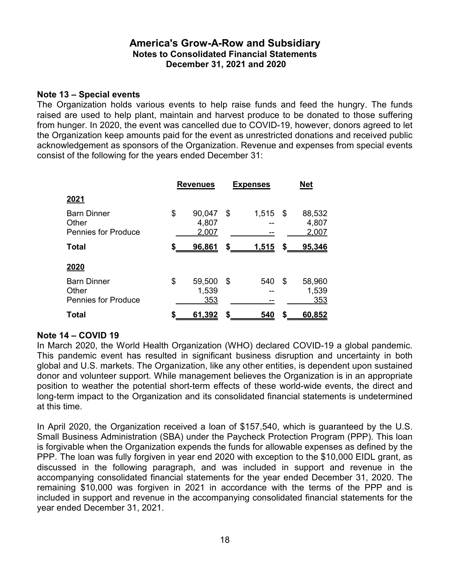### **Note 13 – Special events**

The Organization holds various events to help raise funds and feed the hungry. The funds raised are used to help plant, maintain and harvest produce to be donated to those suffering from hunger. In 2020, the event was cancelled due to COVID-19, however, donors agreed to let the Organization keep amounts paid for the event as unrestricted donations and received public acknowledgement as sponsors of the Organization. Revenue and expenses from special events consist of the following for the years ended December 31:

|                                                           | <b>Revenues</b>                |      | <b>Expenses</b> |      | <b>Net</b>               |
|-----------------------------------------------------------|--------------------------------|------|-----------------|------|--------------------------|
| 2021                                                      |                                |      |                 |      |                          |
| <b>Barn Dinner</b><br>Other<br>Pennies for Produce        | \$<br>90,047<br>4,807<br>2,007 | \$   | 1,515           | - \$ | 88,532<br>4,807<br>2,007 |
| <b>Total</b>                                              | 96,861                         | S.   | <u>1,515</u>    | S.   | 95,346                   |
| 2020                                                      |                                |      |                 |      |                          |
| <b>Barn Dinner</b><br>Other<br><b>Pennies for Produce</b> | \$<br>59,500<br>1,539<br>353   | - \$ | 540             | \$   | 58,960<br>1,539<br>353   |
| <b>Total</b>                                              | 61,392                         |      | 540             |      | 60,852                   |

# **Note 14 – COVID 19**

In March 2020, the World Health Organization (WHO) declared COVID-19 a global pandemic. This pandemic event has resulted in significant business disruption and uncertainty in both global and U.S. markets. The Organization, like any other entities, is dependent upon sustained donor and volunteer support. While management believes the Organization is in an appropriate position to weather the potential short-term effects of these world-wide events, the direct and long-term impact to the Organization and its consolidated financial statements is undetermined at this time.

In April 2020, the Organization received a loan of \$157,540, which is guaranteed by the U.S. Small Business Administration (SBA) under the Paycheck Protection Program (PPP). This loan is forgivable when the Organization expends the funds for allowable expenses as defined by the PPP. The loan was fully forgiven in year end 2020 with exception to the \$10,000 EIDL grant, as discussed in the following paragraph, and was included in support and revenue in the accompanying consolidated financial statements for the year ended December 31, 2020. The remaining \$10,000 was forgiven in 2021 in accordance with the terms of the PPP and is included in support and revenue in the accompanying consolidated financial statements for the year ended December 31, 2021.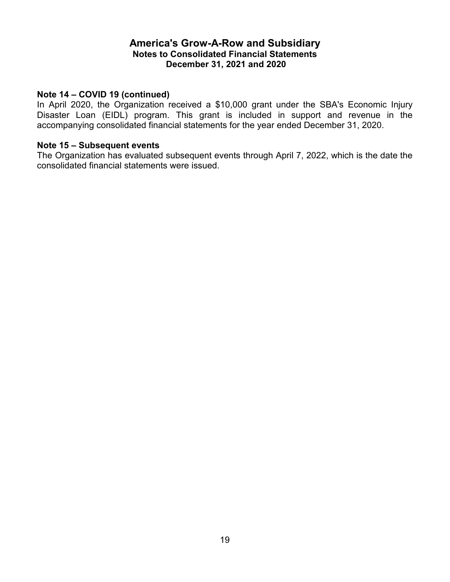### **Note 14 – COVID 19 (continued)**

In April 2020, the Organization received a \$10,000 grant under the SBA's Economic Injury Disaster Loan (EIDL) program. This grant is included in support and revenue in the accompanying consolidated financial statements for the year ended December 31, 2020.

#### **Note 15 – Subsequent events**

The Organization has evaluated subsequent events through April 7, 2022, which is the date the consolidated financial statements were issued.